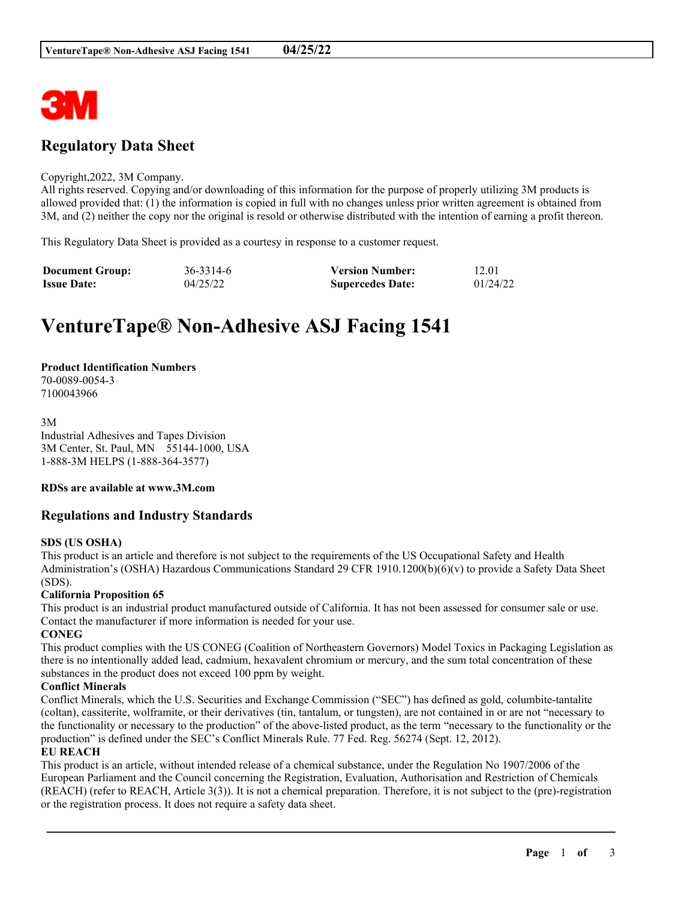

# **Regulatory Data Sheet**

#### Copyright,2022, 3M Company.

All rights reserved. Copying and/or downloading of this information for the purpose of properly utilizing 3M products is allowed provided that: (1) the information is copied in full with no changes unless prior written agreement is obtained from 3M, and (2) neither the copy nor the original is resold or otherwise distributed with the intention of earning a profit thereon.

This Regulatory Data Sheet is provided as a courtesy in response to a customer request.

| <b>Document Group:</b> | 36-3314-6 | <b>Version Number:</b>  | 12.01    |
|------------------------|-----------|-------------------------|----------|
| <b>Issue Date:</b>     | 04/25/22  | <b>Supercedes Date:</b> | 01/24/22 |

# **VentureTape® Non-Adhesive ASJ Facing 1541**

# **Product Identification Numbers**

70-0089-0054-3 7100043966

3M Industrial Adhesives and Tapes Division 3M Center, St. Paul, MN 55144-1000, USA 1-888-3M HELPS (1-888-364-3577)

#### **RDSs are available at www.3M.com**

# **Regulations and Industry Standards**

#### **SDS (US OSHA)**

This product is an article and therefore is not subject to the requirements of the US Occupational Safety and Health Administration's (OSHA) Hazardous Communications Standard 29 CFR 1910.1200(b)(6)(v) to provide a Safety Data Sheet (SDS).

#### **California Proposition 65**

This product is an industrial product manufactured outside of California. It has not been assessed for consumer sale or use. Contact the manufacturer if more information is needed for your use.

#### **CONEG**

This product complies with the US CONEG (Coalition of Northeastern Governors) Model Toxics in Packaging Legislation as there is no intentionally added lead, cadmium, hexavalent chromium or mercury, and the sum total concentration of these substances in the product does not exceed 100 ppm by weight.

#### **Conflict Minerals**

Conflict Minerals, which the U.S. Securities and Exchange Commission ("SEC") has defined as gold, columbite-tantalite (coltan), cassiterite, wolframite, or their derivatives (tin, tantalum, or tungsten), are not contained in or are not "necessary to the functionality or necessary to the production" of the above-listed product, as the term "necessary to the functionality or the production" is defined under the SEC's Conflict Minerals Rule. 77 Fed. Reg. 56274 (Sept. 12, 2012).

### **EU REACH**

This product is an article, without intended release of a chemical substance, under the Regulation No 1907/2006 of the European Parliament and the Council concerning the Registration, Evaluation, Authorisation and Restriction of Chemicals (REACH) (refer to REACH, Article 3(3)). It is not a chemical preparation. Therefore, it is not subject to the (pre)-registration or the registration process. It does not require a safety data sheet.

\_\_\_\_\_\_\_\_\_\_\_\_\_\_\_\_\_\_\_\_\_\_\_\_\_\_\_\_\_\_\_\_\_\_\_\_\_\_\_\_\_\_\_\_\_\_\_\_\_\_\_\_\_\_\_\_\_\_\_\_\_\_\_\_\_\_\_\_\_\_\_\_\_\_\_\_\_\_\_\_\_\_\_\_\_\_\_\_\_\_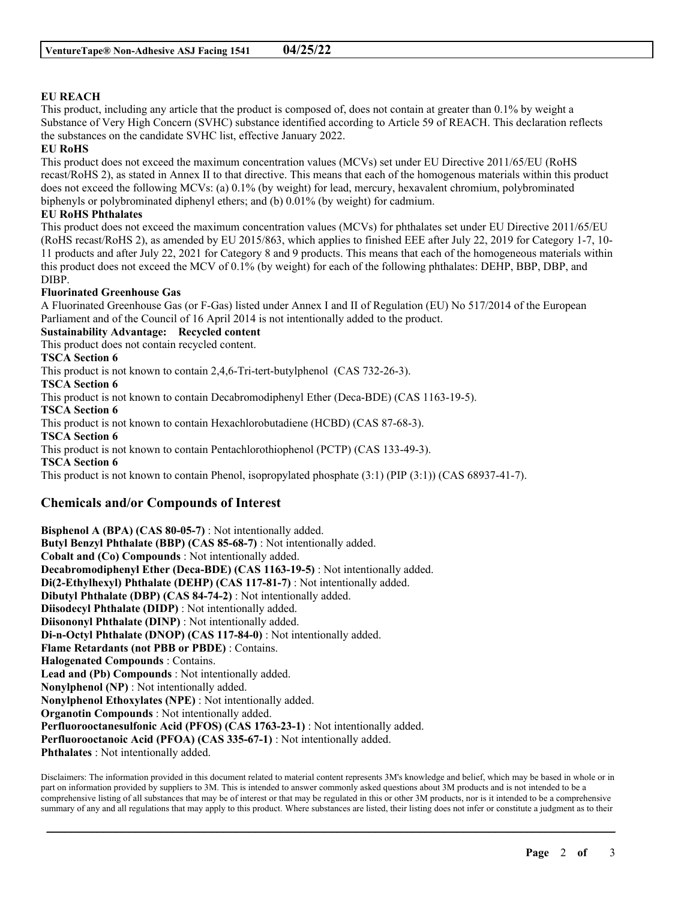## **EU REACH**

This product, including any article that the product is composed of, does not contain at greater than 0.1% by weight a Substance of Very High Concern (SVHC) substance identified according to Article 59 of REACH. This declaration reflects the substances on the candidate SVHC list, effective January 2022.

#### **EU RoHS**

This product does not exceed the maximum concentration values (MCVs) set under EU Directive 2011/65/EU (RoHS recast/RoHS 2), as stated in Annex II to that directive. This means that each of the homogenous materials within this product does not exceed the following MCVs: (a) 0.1% (by weight) for lead, mercury, hexavalent chromium, polybrominated biphenyls or polybrominated diphenyl ethers; and (b) 0.01% (by weight) for cadmium.

#### **EU RoHS Phthalates**

This product does not exceed the maximum concentration values (MCVs) for phthalates set under EU Directive 2011/65/EU (RoHS recast/RoHS 2), as amended by EU 2015/863, which applies to finished EEE after July 22, 2019 for Category 1-7, 10- 11 products and after July 22, 2021 for Category 8 and 9 products. This means that each of the homogeneous materials within this product does not exceed the MCV of 0.1% (by weight) for each of the following phthalates: DEHP, BBP, DBP, and DIBP.

#### **Fluorinated Greenhouse Gas**

A Fluorinated Greenhouse Gas (or F-Gas) listed under Annex I and II of Regulation (EU) No 517/2014 of the European Parliament and of the Council of 16 April 2014 is not intentionally added to the product.

#### **Sustainability Advantage: Recycled content**

This product does not contain recycled content.

#### **TSCA Section 6**

This product is not known to contain 2,4,6-Tri-tert-butylphenol (CAS 732-26-3).

**TSCA Section 6**

This product is not known to contain Decabromodiphenyl Ether (Deca-BDE) (CAS 1163-19-5).

**TSCA Section 6**

This product is not known to contain Hexachlorobutadiene (HCBD) (CAS 87-68-3).

**TSCA Section 6**

This product is not known to contain Pentachlorothiophenol (PCTP) (CAS 133-49-3).

**TSCA Section 6**

This product is not known to contain Phenol, isopropylated phosphate (3:1) (PIP (3:1)) (CAS 68937-41-7).

# **Chemicals and/or Compounds of Interest**

**Bisphenol A (BPA) (CAS 80-05-7)** : Not intentionally added. **Butyl Benzyl Phthalate (BBP) (CAS 85-68-7)** : Not intentionally added. **Cobalt and (Co) Compounds** : Not intentionally added. **Decabromodiphenyl Ether (Deca-BDE) (CAS 1163-19-5)** : Not intentionally added. **Di(2-Ethylhexyl) Phthalate (DEHP) (CAS 117-81-7)** : Not intentionally added. **Dibutyl Phthalate (DBP) (CAS 84-74-2)** : Not intentionally added. **Diisodecyl Phthalate (DIDP)** : Not intentionally added. **Diisononyl Phthalate (DINP)** : Not intentionally added. **Di-n-Octyl Phthalate (DNOP) (CAS 117-84-0)** : Not intentionally added. **Flame Retardants (not PBB or PBDE)** : Contains. **Halogenated Compounds** : Contains. **Lead and (Pb) Compounds** : Not intentionally added. **Nonylphenol (NP)** : Not intentionally added. **Nonylphenol Ethoxylates (NPE)** : Not intentionally added. **Organotin Compounds** : Not intentionally added. **Perfluorooctanesulfonic Acid (PFOS) (CAS 1763-23-1)** : Not intentionally added. **Perfluorooctanoic Acid (PFOA) (CAS 335-67-1)** : Not intentionally added. **Phthalates** : Not intentionally added.

Disclaimers: The information provided in this document related to material content represents 3M's knowledge and belief, which may be based in whole or in part on information provided by suppliers to 3M. This is intended to answer commonly asked questions about 3M products and is not intended to be a comprehensive listing of all substances that may be of interest or that may be regulated in this or other 3M products, nor is it intended to be a comprehensive summary of any and all regulations that may apply to this product. Where substances are listed, their listing does not infer or constitute a judgment as to their

\_\_\_\_\_\_\_\_\_\_\_\_\_\_\_\_\_\_\_\_\_\_\_\_\_\_\_\_\_\_\_\_\_\_\_\_\_\_\_\_\_\_\_\_\_\_\_\_\_\_\_\_\_\_\_\_\_\_\_\_\_\_\_\_\_\_\_\_\_\_\_\_\_\_\_\_\_\_\_\_\_\_\_\_\_\_\_\_\_\_